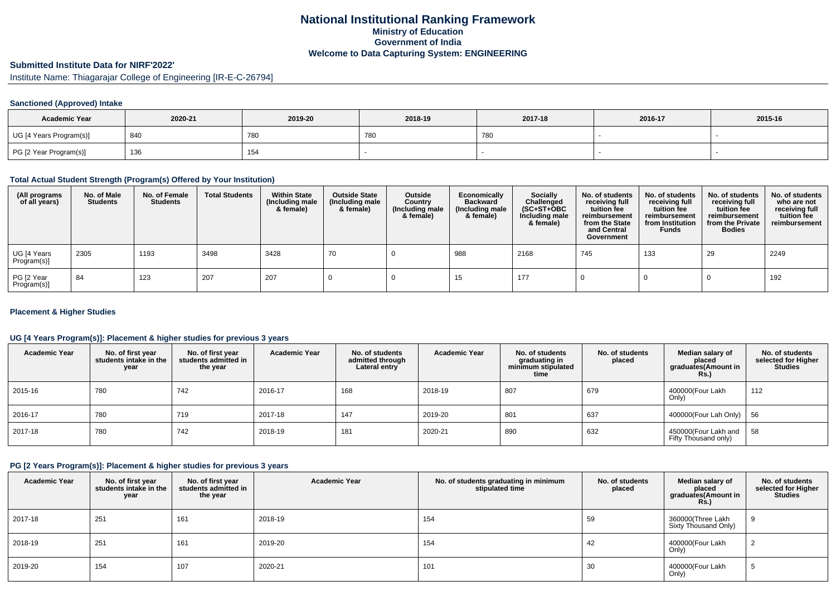# **National Institutional Ranking FrameworkMinistry of Education Government of IndiaWelcome to Data Capturing System: ENGINEERING**

# **Submitted Institute Data for NIRF'2022'**

Institute Name: Thiagarajar College of Engineering [IR-E-C-26794]

### **Sanctioned (Approved) Intake**

| <b>Academic Year</b>    | 2020-21 | 2019-20    | 2018-19 | 2017-18 | 2016-17 | 2015-16 |
|-------------------------|---------|------------|---------|---------|---------|---------|
| UG [4 Years Program(s)] | 840     | <b>780</b> | 780     | 780     |         |         |
| PG [2 Year Program(s)]  | 136     | 154        |         |         |         |         |

## **Total Actual Student Strength (Program(s) Offered by Your Institution)**

| (All programs<br>of all years) | No. of Male<br><b>Students</b> | No. of Female<br><b>Students</b> | <b>Total Students</b> | <b>Within State</b><br>(Including male<br>& female) | <b>Outside State</b><br>(Including male<br>& female) | Outside<br>Country<br>(Including male<br>& female) | Economically<br><b>Backward</b><br>(Including male<br>& female) | <b>Socially</b><br>Challenged<br>$(SC+ST+OBC)$<br>Including male<br>& female) | No. of students<br>receiving full<br>tuition fee<br>reimbursement<br>from the State<br>and Central<br>Government | No. of students<br>receiving full<br>tuition fee<br>reimbursement<br>from Institution<br><b>Funds</b> | No. of students<br>receiving full<br>tuition fee<br>reimbursement<br>from the Private<br><b>Bodies</b> | No. of students<br>who are not<br>receiving full<br>tuition fee<br>reimbursement |
|--------------------------------|--------------------------------|----------------------------------|-----------------------|-----------------------------------------------------|------------------------------------------------------|----------------------------------------------------|-----------------------------------------------------------------|-------------------------------------------------------------------------------|------------------------------------------------------------------------------------------------------------------|-------------------------------------------------------------------------------------------------------|--------------------------------------------------------------------------------------------------------|----------------------------------------------------------------------------------|
| UG [4 Years<br>Program(s)]     | 2305                           | 1193                             | 3498                  | 3428                                                | 70                                                   |                                                    | 988                                                             | 2168                                                                          | 745                                                                                                              | 133                                                                                                   | 29                                                                                                     | 2249                                                                             |
| PG [2 Year<br>Program(s)]      | 84                             | 123                              | 207                   | 207                                                 |                                                      |                                                    | 15                                                              | 177                                                                           |                                                                                                                  |                                                                                                       |                                                                                                        | 192                                                                              |

#### **Placement & Higher Studies**

## **UG [4 Years Program(s)]: Placement & higher studies for previous 3 years**

| <b>Academic Year</b> | No. of first year<br>students intake in the<br>year | No. of first vear<br>students admitted in<br>the year | <b>Academic Year</b> | No. of students<br>admitted through<br>Lateral entry | <b>Academic Year</b> | No. of students<br>graduating in<br>minimum stipulated<br>time | No. of students<br>placed | Median salary of<br>placed<br>graduates(Amount in<br>Rs. | No. of students<br>selected for Higher<br><b>Studies</b> |
|----------------------|-----------------------------------------------------|-------------------------------------------------------|----------------------|------------------------------------------------------|----------------------|----------------------------------------------------------------|---------------------------|----------------------------------------------------------|----------------------------------------------------------|
| 2015-16              | 780                                                 | 742                                                   | 2016-17              | 168                                                  | 2018-19              | 807                                                            | 679                       | 400000(Four Lakh<br>Only)                                | 112                                                      |
| 2016-17              | 780                                                 | 719                                                   | 2017-18              | 147                                                  | 2019-20              | 801                                                            | 637                       | 400000(Four Lah Only)   56                               |                                                          |
| 2017-18              | 780                                                 | 742                                                   | 2018-19              | 181                                                  | 2020-21              | 890                                                            | 632                       | 450000(Four Lakh and   58<br>Fifty Thousand only)        |                                                          |

## **PG [2 Years Program(s)]: Placement & higher studies for previous 3 years**

| <b>Academic Year</b> | No. of first year<br>students intake in the<br>year | No. of first year<br>students admitted in<br>the year | <b>Academic Year</b> | No. of students graduating in minimum<br>stipulated time | No. of students<br>placed | Median salary of<br>placed<br>graduates (Amount in<br><b>Rs.)</b> | No. of students<br>selected for Higher<br><b>Studies</b> |
|----------------------|-----------------------------------------------------|-------------------------------------------------------|----------------------|----------------------------------------------------------|---------------------------|-------------------------------------------------------------------|----------------------------------------------------------|
| 2017-18              | 251                                                 | 161                                                   | 2018-19              | 154                                                      | 59                        | 360000(Three Lakh<br>Sixty Thousand Only)                         |                                                          |
| 2018-19              | 251                                                 | 161                                                   | 2019-20              | 154                                                      | 42                        | 400000(Four Lakh<br>Only)                                         |                                                          |
| 2019-20              | 154                                                 | 107                                                   | 2020-21              | 101                                                      | 30                        | 400000(Four Lakh<br>Only)                                         | ັ                                                        |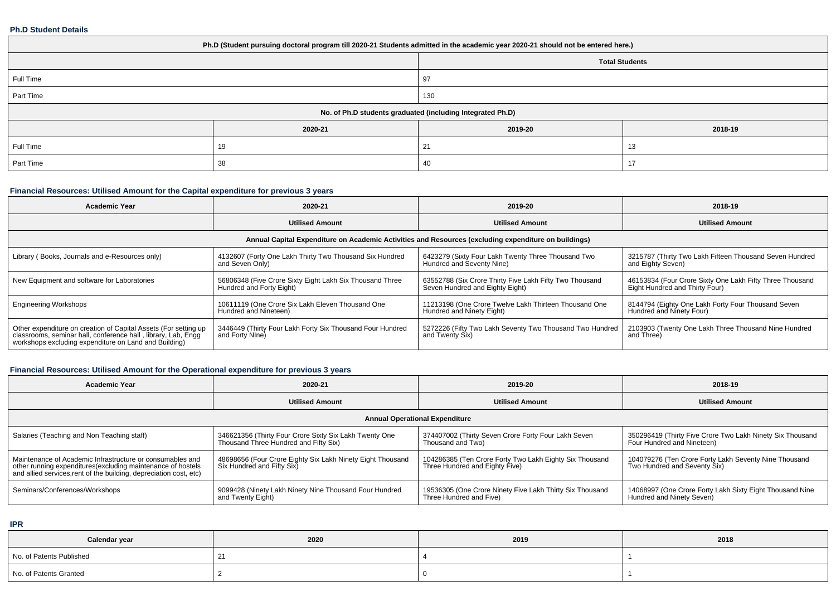#### **Ph.D Student Details**

| Ph.D (Student pursuing doctoral program till 2020-21 Students admitted in the academic year 2020-21 should not be entered here.) |         |          |         |  |  |  |  |
|----------------------------------------------------------------------------------------------------------------------------------|---------|----------|---------|--|--|--|--|
| <b>Total Students</b>                                                                                                            |         |          |         |  |  |  |  |
| Full Time                                                                                                                        |         | 97       |         |  |  |  |  |
| Part Time                                                                                                                        |         | 130      |         |  |  |  |  |
| No. of Ph.D students graduated (including Integrated Ph.D)                                                                       |         |          |         |  |  |  |  |
|                                                                                                                                  | 2020-21 | 2019-20  | 2018-19 |  |  |  |  |
| Full Time                                                                                                                        | 19      | 21       | 13      |  |  |  |  |
| Part Time                                                                                                                        | 38      | 40<br>17 |         |  |  |  |  |

# **Financial Resources: Utilised Amount for the Capital expenditure for previous 3 years**

| <b>Academic Year</b>                                                                                                                                                                      | 2020-21                                                                                              | 2019-20                                                                                    | 2018-19                                                                                    |  |  |  |  |  |  |  |
|-------------------------------------------------------------------------------------------------------------------------------------------------------------------------------------------|------------------------------------------------------------------------------------------------------|--------------------------------------------------------------------------------------------|--------------------------------------------------------------------------------------------|--|--|--|--|--|--|--|
|                                                                                                                                                                                           | <b>Utilised Amount</b>                                                                               | <b>Utilised Amount</b>                                                                     | <b>Utilised Amount</b>                                                                     |  |  |  |  |  |  |  |
|                                                                                                                                                                                           | Annual Capital Expenditure on Academic Activities and Resources (excluding expenditure on buildings) |                                                                                            |                                                                                            |  |  |  |  |  |  |  |
| Library (Books, Journals and e-Resources only)                                                                                                                                            | 4132607 (Forty One Lakh Thirty Two Thousand Six Hundred<br>and Seven Only)                           | 6423279 (Sixty Four Lakh Twenty Three Thousand Two<br>Hundred and Seventy Nine)            | 3215787 (Thirty Two Lakh Fifteen Thousand Seven Hundred<br>and Eighty Seven)               |  |  |  |  |  |  |  |
| New Equipment and software for Laboratories                                                                                                                                               | 56806348 (Five Crore Sixty Eight Lakh Six Thousand Three<br>Hundred and Forty Eight)                 | 63552788 (Six Crore Thirty Five Lakh Fifty Two Thousand<br>Seven Hundred and Eighty Eight) | 46153834 (Four Crore Sixty One Lakh Fifty Three Thousand<br>Eight Hundred and Thirty Four) |  |  |  |  |  |  |  |
| <b>Engineering Workshops</b>                                                                                                                                                              | 10611119 (One Crore Six Lakh Eleven Thousand One<br>Hundred and Nineteen)                            | 11213198 (One Crore Twelve Lakh Thirteen Thousand One<br>Hundred and Ninety Eight)         | 8144794 (Eighty One Lakh Forty Four Thousand Seven<br>Hundred and Ninety Four)             |  |  |  |  |  |  |  |
| Other expenditure on creation of Capital Assets (For setting up<br>classrooms, seminar hall, conference hall, library, Lab, Engq<br>workshops excluding expenditure on Land and Building) | 3446449 (Thirty Four Lakh Forty Six Thousand Four Hundred<br>and Forty Nine)                         | 5272226 (Fifty Two Lakh Seventy Two Thousand Two Hundred<br>and Twenty Six)                | 2103903 (Twenty One Lakh Three Thousand Nine Hundred<br>and Three)                         |  |  |  |  |  |  |  |

## **Financial Resources: Utilised Amount for the Operational expenditure for previous 3 years**

| <b>Academic Year</b>                                                                                                                                                                            | 2020-21                                                                                         | 2019-20                                                                                   | 2018-19                                                                                 |  |  |  |  |  |  |
|-------------------------------------------------------------------------------------------------------------------------------------------------------------------------------------------------|-------------------------------------------------------------------------------------------------|-------------------------------------------------------------------------------------------|-----------------------------------------------------------------------------------------|--|--|--|--|--|--|
|                                                                                                                                                                                                 | <b>Utilised Amount</b>                                                                          | <b>Utilised Amount</b>                                                                    | <b>Utilised Amount</b>                                                                  |  |  |  |  |  |  |
| <b>Annual Operational Expenditure</b>                                                                                                                                                           |                                                                                                 |                                                                                           |                                                                                         |  |  |  |  |  |  |
| Salaries (Teaching and Non Teaching staff)                                                                                                                                                      | 346621356 (Thirty Four Crore Sixty Six Lakh Twenty One<br>Thousand Three Hundred and Fifty Six) | 374407002 (Thirty Seven Crore Forty Four Lakh Seven<br>Thousand and Two)                  | 350296419 (Thirty Five Crore Two Lakh Ninety Six Thousand<br>Four Hundred and Nineteen) |  |  |  |  |  |  |
| Maintenance of Academic Infrastructure or consumables and<br>other running expenditures (excluding maintenance of hostels<br>and allied services, rent of the building, depreciation cost, etc) | 48698656 (Four Crore Eighty Six Lakh Ninety Eight Thousand<br>Six Hundred and Fifty Six)        | 104286385 (Ten Crore Forty Two Lakh Eighty Six Thousand<br>Three Hundred and Eighty Five) | 104079276 (Ten Crore Forty Lakh Seventy Nine Thousand<br>Two Hundred and Seventy Six)   |  |  |  |  |  |  |
| Seminars/Conferences/Workshops                                                                                                                                                                  | 9099428 (Ninety Lakh Ninety Nine Thousand Four Hundred<br>and Twenty Eight)                     | 19536305 (One Crore Ninety Five Lakh Thirty Six Thousand<br>Three Hundred and Five)       | 14068997 (One Crore Forty Lakh Sixty Eight Thousand Nine<br>Hundred and Ninety Seven)   |  |  |  |  |  |  |

**IPR**

| Calendar year            | 2020 | 2019 | 2018 |
|--------------------------|------|------|------|
| No. of Patents Published |      |      |      |
| No. of Patents Granted   |      |      |      |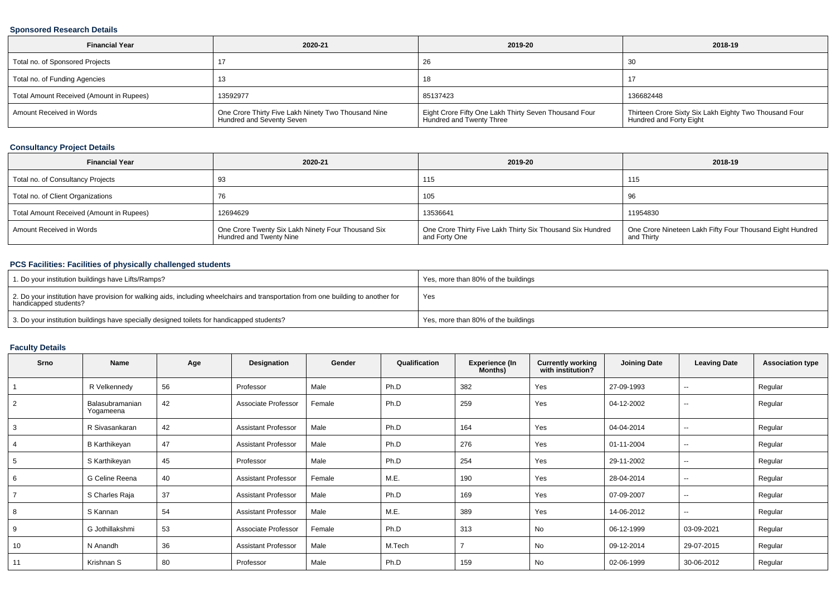## **Sponsored Research Details**

| <b>Financial Year</b>                    | 2020-21                                                                          | 2019-20                                                                           | 2018-19                                                                           |
|------------------------------------------|----------------------------------------------------------------------------------|-----------------------------------------------------------------------------------|-----------------------------------------------------------------------------------|
| Total no. of Sponsored Projects          |                                                                                  | 26                                                                                | 30                                                                                |
| Total no. of Funding Agencies            |                                                                                  | 18                                                                                |                                                                                   |
| Total Amount Received (Amount in Rupees) | 13592977                                                                         | 85137423                                                                          | 136682448                                                                         |
| Amount Received in Words                 | One Crore Thirty Five Lakh Ninety Two Thousand Nine<br>Hundred and Seventy Seven | Eight Crore Fifty One Lakh Thirty Seven Thousand Four<br>Hundred and Twenty Three | Thirteen Crore Sixty Six Lakh Eighty Two Thousand Four<br>Hundred and Forty Eight |

# **Consultancy Project Details**

| <b>Financial Year</b>                    | 2020-21                                                                       | 2019-20                                                                     | 2018-19                                                                 |
|------------------------------------------|-------------------------------------------------------------------------------|-----------------------------------------------------------------------------|-------------------------------------------------------------------------|
| Total no. of Consultancy Projects        | -93                                                                           | 115                                                                         | 115                                                                     |
| Total no. of Client Organizations        |                                                                               | 105                                                                         | 96                                                                      |
| Total Amount Received (Amount in Rupees) | 12694629                                                                      | 13536641                                                                    | 11954830                                                                |
| Amount Received in Words                 | One Crore Twenty Six Lakh Ninety Four Thousand Six<br>Hundred and Twenty Nine | One Crore Thirty Five Lakh Thirty Six Thousand Six Hundred<br>and Forty One | One Crore Nineteen Lakh Fifty Four Thousand Eight Hundred<br>and Thirty |

## **PCS Facilities: Facilities of physically challenged students**

| 1. Do your institution buildings have Lifts/Ramps?                                                                                                         | Yes, more than 80% of the buildings |
|------------------------------------------------------------------------------------------------------------------------------------------------------------|-------------------------------------|
| 2. Do your institution have provision for walking aids, including wheelchairs and transportation from one building to another for<br>handicapped students? | Yes                                 |
| 3. Do your institution buildings have specially designed toilets for handicapped students?                                                                 | Yes, more than 80% of the buildings |

# **Faculty Details**

| Srno           | Name                         | Age | Designation                | Gender | Qualification | Experience (In<br>Months) | <b>Currently working<br/>with institution?</b> | <b>Joining Date</b> | <b>Leaving Date</b> | <b>Association type</b> |
|----------------|------------------------------|-----|----------------------------|--------|---------------|---------------------------|------------------------------------------------|---------------------|---------------------|-------------------------|
|                | R Velkennedy                 | 56  | Professor                  | Male   | Ph.D          | 382                       | Yes                                            | 27-09-1993          | $\sim$              | Regular                 |
| $\overline{2}$ | Balasubramanian<br>Yogameena | 42  | Associate Professor        | Female | Ph.D          | 259                       | Yes                                            | 04-12-2002          | $\sim$              | Regular                 |
| 3              | R Sivasankaran               | 42  | <b>Assistant Professor</b> | Male   | Ph.D          | 164                       | Yes                                            | 04-04-2014          | $\sim$              | Regular                 |
| 4              | B Karthikeyan                | 47  | <b>Assistant Professor</b> | Male   | Ph.D          | 276                       | Yes                                            | 01-11-2004          | $\sim$              | Regular                 |
| 5              | S Karthikeyan                | 45  | Professor                  | Male   | Ph.D          | 254                       | Yes                                            | 29-11-2002          | $\sim$              | Regular                 |
| 6              | G Celine Reena               | 40  | <b>Assistant Professor</b> | Female | M.E.          | 190                       | Yes                                            | 28-04-2014          | $\sim$              | Regular                 |
|                | S Charles Raja               | 37  | <b>Assistant Professor</b> | Male   | Ph.D          | 169                       | Yes                                            | 07-09-2007          | $\sim$              | Regular                 |
| 8              | S Kannan                     | 54  | <b>Assistant Professor</b> | Male   | M.E.          | 389                       | Yes                                            | 14-06-2012          | $\sim$              | Regular                 |
| 9              | G Jothillakshmi              | 53  | Associate Professor        | Female | Ph.D          | 313                       | <b>No</b>                                      | 06-12-1999          | 03-09-2021          | Regular                 |
| 10             | N Anandh                     | 36  | <b>Assistant Professor</b> | Male   | M.Tech        |                           | No                                             | 09-12-2014          | 29-07-2015          | Regular                 |
| 11             | Krishnan S                   | 80  | Professor                  | Male   | Ph.D          | 159                       | <b>No</b>                                      | 02-06-1999          | 30-06-2012          | Regular                 |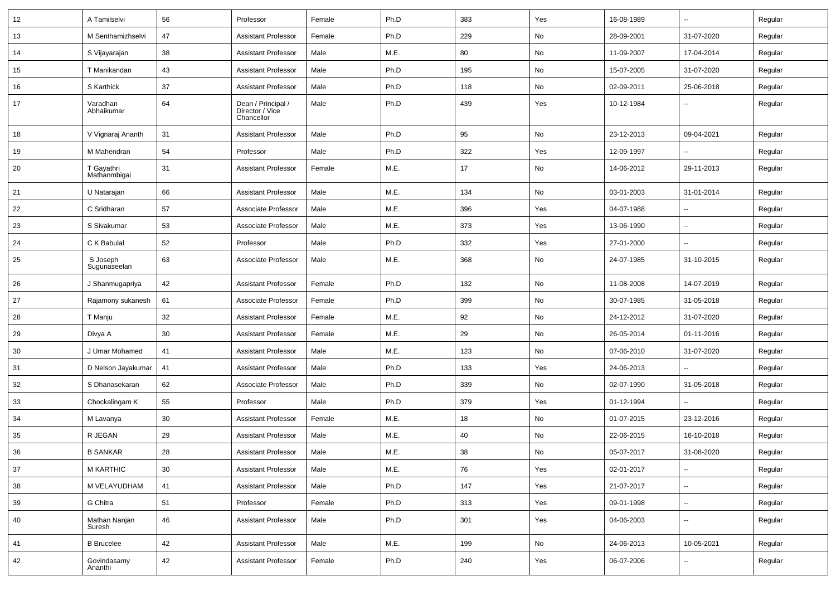| 12 | A Tamilselvi               | 56 | Professor                                           | Female | Ph.D | 383 | Yes | 16-08-1989 | $\sim$                   | Regular |
|----|----------------------------|----|-----------------------------------------------------|--------|------|-----|-----|------------|--------------------------|---------|
| 13 | M Senthamizhselvi          | 47 | <b>Assistant Professor</b>                          | Female | Ph.D | 229 | No  | 28-09-2001 | 31-07-2020               | Regular |
| 14 | S Vijayarajan              | 38 | <b>Assistant Professor</b>                          | Male   | M.E. | 80  | No  | 11-09-2007 | 17-04-2014               | Regular |
| 15 | T Manikandan               | 43 | <b>Assistant Professor</b>                          | Male   | Ph.D | 195 | No  | 15-07-2005 | 31-07-2020               | Regular |
| 16 | S Karthick                 | 37 | <b>Assistant Professor</b>                          | Male   | Ph.D | 118 | No  | 02-09-2011 | 25-06-2018               | Regular |
| 17 | Varadhan<br>Abhaikumar     | 64 | Dean / Principal /<br>Director / Vice<br>Chancellor | Male   | Ph.D | 439 | Yes | 10-12-1984 |                          | Regular |
| 18 | V Vignaraj Ananth          | 31 | <b>Assistant Professor</b>                          | Male   | Ph.D | 95  | No  | 23-12-2013 | 09-04-2021               | Regular |
| 19 | M Mahendran                | 54 | Professor                                           | Male   | Ph.D | 322 | Yes | 12-09-1997 |                          | Regular |
| 20 | T Gayathri<br>Mathanmbigai | 31 | <b>Assistant Professor</b>                          | Female | M.E. | 17  | No  | 14-06-2012 | 29-11-2013               | Regular |
| 21 | U Natarajan                | 66 | <b>Assistant Professor</b>                          | Male   | M.E. | 134 | No  | 03-01-2003 | 31-01-2014               | Regular |
| 22 | C Sridharan                | 57 | Associate Professor                                 | Male   | M.E. | 396 | Yes | 04-07-1988 | ۰.                       | Regular |
| 23 | S Sivakumar                | 53 | Associate Professor                                 | Male   | M.E. | 373 | Yes | 13-06-1990 | $\sim$                   | Regular |
| 24 | C K Babulal                | 52 | Professor                                           | Male   | Ph.D | 332 | Yes | 27-01-2000 | $\overline{\phantom{a}}$ | Regular |
| 25 | S Joseph<br>Sugunaseelan   | 63 | Associate Professor                                 | Male   | M.E. | 368 | No  | 24-07-1985 | 31-10-2015               | Regular |
| 26 | J Shanmugapriya            | 42 | <b>Assistant Professor</b>                          | Female | Ph.D | 132 | No  | 11-08-2008 | 14-07-2019               | Regular |
| 27 | Rajamony sukanesh          | 61 | Associate Professor                                 | Female | Ph.D | 399 | No  | 30-07-1985 | 31-05-2018               | Regular |
| 28 | T Manju                    | 32 | <b>Assistant Professor</b>                          | Female | M.E. | 92  | No  | 24-12-2012 | 31-07-2020               | Regular |
| 29 | Divya A                    | 30 | <b>Assistant Professor</b>                          | Female | M.E. | 29  | No  | 26-05-2014 | 01-11-2016               | Regular |
| 30 | J Umar Mohamed             | 41 | <b>Assistant Professor</b>                          | Male   | M.E. | 123 | No  | 07-06-2010 | 31-07-2020               | Regular |
| 31 | D Nelson Jayakumar         | 41 | <b>Assistant Professor</b>                          | Male   | Ph.D | 133 | Yes | 24-06-2013 | $\overline{\phantom{a}}$ | Regular |
| 32 | S Dhanasekaran             | 62 | Associate Professor                                 | Male   | Ph.D | 339 | No  | 02-07-1990 | 31-05-2018               | Regular |
| 33 | Chockalingam K             | 55 | Professor                                           | Male   | Ph.D | 379 | Yes | 01-12-1994 |                          | Regular |
| 34 | M Lavanya                  | 30 | <b>Assistant Professor</b>                          | Female | M.E. | 18  | No  | 01-07-2015 | 23-12-2016               | Regular |
| 35 | R JEGAN                    | 29 | <b>Assistant Professor</b>                          | Male   | M.E. | 40  | No  | 22-06-2015 | 16-10-2018               | Regular |
| 36 | <b>B SANKAR</b>            | 28 | <b>Assistant Professor</b>                          | Male   | M.E. | 38  | No  | 05-07-2017 | 31-08-2020               | Regular |
| 37 | <b>M KARTHIC</b>           | 30 | <b>Assistant Professor</b>                          | Male   | M.E. | 76  | Yes | 02-01-2017 | $\sim$                   | Regular |
| 38 | M VELAYUDHAM               | 41 | <b>Assistant Professor</b>                          | Male   | Ph.D | 147 | Yes | 21-07-2017 | ш.                       | Regular |
| 39 | G Chitra                   | 51 | Professor                                           | Female | Ph.D | 313 | Yes | 09-01-1998 | ш.                       | Regular |
| 40 | Mathan Nanjan<br>Suresh    | 46 | <b>Assistant Professor</b>                          | Male   | Ph.D | 301 | Yes | 04-06-2003 | $\sim$                   | Regular |
| 41 | <b>B</b> Brucelee          | 42 | <b>Assistant Professor</b>                          | Male   | M.E. | 199 | No  | 24-06-2013 | 10-05-2021               | Regular |
| 42 | Govindasamy<br>Ananthi     | 42 | <b>Assistant Professor</b>                          | Female | Ph.D | 240 | Yes | 06-07-2006 | ۰.                       | Regular |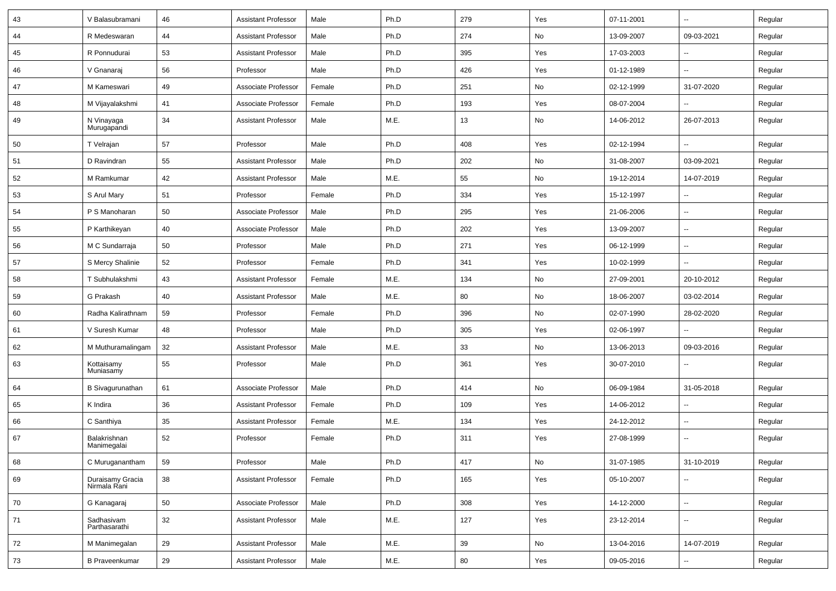| 43 | V Balasubramani                  | 46 | <b>Assistant Professor</b> | Male   | Ph.D | 279 | Yes | 07-11-2001 | $\sim$                   | Regular |
|----|----------------------------------|----|----------------------------|--------|------|-----|-----|------------|--------------------------|---------|
| 44 | R Medeswaran                     | 44 | <b>Assistant Professor</b> | Male   | Ph.D | 274 | No  | 13-09-2007 | 09-03-2021               | Regular |
| 45 | R Ponnudurai                     | 53 | <b>Assistant Professor</b> | Male   | Ph.D | 395 | Yes | 17-03-2003 | --                       | Regular |
| 46 | V Gnanaraj                       | 56 | Professor                  | Male   | Ph.D | 426 | Yes | 01-12-1989 |                          | Regular |
| 47 | M Kameswari                      | 49 | Associate Professor        | Female | Ph.D | 251 | No  | 02-12-1999 | 31-07-2020               | Regular |
| 48 | M Vijayalakshmi                  | 41 | Associate Professor        | Female | Ph.D | 193 | Yes | 08-07-2004 |                          | Regular |
| 49 | N Vinayaga<br>Murugapandi        | 34 | <b>Assistant Professor</b> | Male   | M.E. | 13  | No  | 14-06-2012 | 26-07-2013               | Regular |
| 50 | T Velrajan                       | 57 | Professor                  | Male   | Ph.D | 408 | Yes | 02-12-1994 | ш.                       | Regular |
| 51 | D Ravindran                      | 55 | <b>Assistant Professor</b> | Male   | Ph.D | 202 | No  | 31-08-2007 | 03-09-2021               | Regular |
| 52 | M Ramkumar                       | 42 | <b>Assistant Professor</b> | Male   | M.E. | 55  | No  | 19-12-2014 | 14-07-2019               | Regular |
| 53 | S Arul Mary                      | 51 | Professor                  | Female | Ph.D | 334 | Yes | 15-12-1997 |                          | Regular |
| 54 | P S Manoharan                    | 50 | Associate Professor        | Male   | Ph.D | 295 | Yes | 21-06-2006 | $\overline{\phantom{a}}$ | Regular |
| 55 | P Karthikeyan                    | 40 | Associate Professor        | Male   | Ph.D | 202 | Yes | 13-09-2007 | $\sim$                   | Regular |
| 56 | M C Sundarraja                   | 50 | Professor                  | Male   | Ph.D | 271 | Yes | 06-12-1999 | $\sim$                   | Regular |
| 57 | S Mercy Shalinie                 | 52 | Professor                  | Female | Ph.D | 341 | Yes | 10-02-1999 | Ξ.                       | Regular |
| 58 | T Subhulakshmi                   | 43 | <b>Assistant Professor</b> | Female | M.E. | 134 | No  | 27-09-2001 | 20-10-2012               | Regular |
| 59 | G Prakash                        | 40 | <b>Assistant Professor</b> | Male   | M.E. | 80  | No  | 18-06-2007 | 03-02-2014               | Regular |
| 60 | Radha Kalirathnam                | 59 | Professor                  | Female | Ph.D | 396 | No  | 02-07-1990 | 28-02-2020               | Regular |
| 61 | V Suresh Kumar                   | 48 | Professor                  | Male   | Ph.D | 305 | Yes | 02-06-1997 |                          | Regular |
| 62 | M Muthuramalingam                | 32 | <b>Assistant Professor</b> | Male   | M.E. | 33  | No  | 13-06-2013 | 09-03-2016               | Regular |
| 63 | Kottaisamy<br>Muniasamy          | 55 | Professor                  | Male   | Ph.D | 361 | Yes | 30-07-2010 | Ξ.                       | Regular |
| 64 | <b>B</b> Sivagurunathan          | 61 | Associate Professor        | Male   | Ph.D | 414 | No  | 06-09-1984 | 31-05-2018               | Regular |
| 65 | K Indira                         | 36 | <b>Assistant Professor</b> | Female | Ph.D | 109 | Yes | 14-06-2012 | $\sim$                   | Regular |
| 66 | C Santhiya                       | 35 | <b>Assistant Professor</b> | Female | M.E. | 134 | Yes | 24-12-2012 | ۰.                       | Regular |
| 67 | Balakrishnan<br>Manimegalai      | 52 | Professor                  | Female | Ph.D | 311 | Yes | 27-08-1999 | $\overline{\phantom{a}}$ | Regular |
| 68 | C Muruganantham                  | 59 | Professor                  | Male   | Ph.D | 417 | No  | 31-07-1985 | 31-10-2019               | Regular |
| 69 | Duraisamy Gracia<br>Nirmala Rani | 38 | <b>Assistant Professor</b> | Female | Ph.D | 165 | Yes | 05-10-2007 | $\sim$                   | Regular |
| 70 | G Kanagaraj                      | 50 | Associate Professor        | Male   | Ph.D | 308 | Yes | 14-12-2000 | u.                       | Regular |
| 71 | Sadhasivam<br>Parthasarathi      | 32 | <b>Assistant Professor</b> | Male   | M.E. | 127 | Yes | 23-12-2014 | $\overline{\phantom{a}}$ | Regular |
| 72 | M Manimegalan                    | 29 | <b>Assistant Professor</b> | Male   | M.E. | 39  | No  | 13-04-2016 | 14-07-2019               | Regular |
| 73 | <b>B</b> Praveenkumar            | 29 | <b>Assistant Professor</b> | Male   | M.E. | 80  | Yes | 09-05-2016 | --                       | Regular |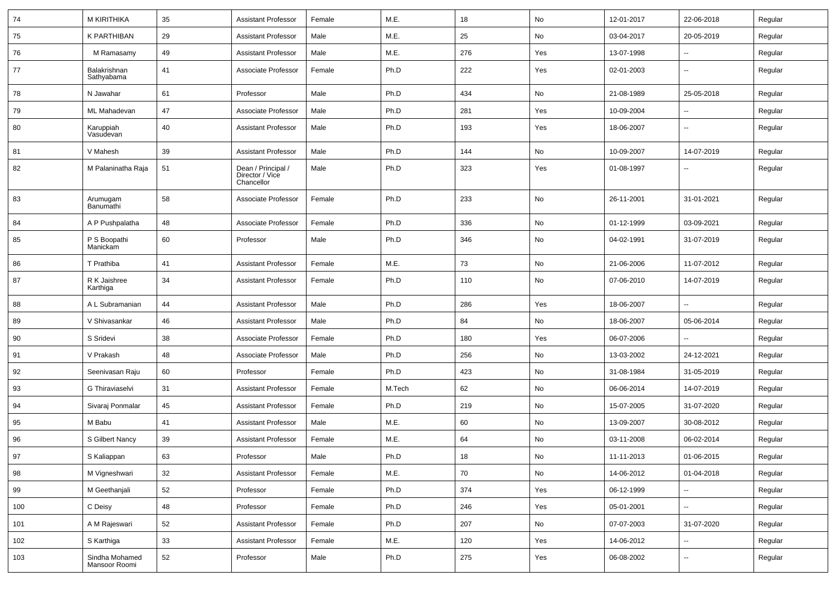| 74  | <b>M KIRITHIKA</b>              | 35 | Assistant Professor                                 | Female | M.E.   | 18  | No         | 12-01-2017 | 22-06-2018               | Regular |
|-----|---------------------------------|----|-----------------------------------------------------|--------|--------|-----|------------|------------|--------------------------|---------|
| 75  | <b>K PARTHIBAN</b>              | 29 | <b>Assistant Professor</b>                          | Male   | M.E.   | 25  | No         | 03-04-2017 | 20-05-2019               | Regular |
| 76  | M Ramasamy                      | 49 | <b>Assistant Professor</b>                          | Male   | M.E.   | 276 | Yes        | 13-07-1998 |                          | Regular |
| 77  | Balakrishnan<br>Sathyabama      | 41 | Associate Professor                                 | Female | Ph.D   | 222 | Yes        | 02-01-2003 | $\overline{\phantom{a}}$ | Regular |
| 78  | N Jawahar                       | 61 | Professor                                           | Male   | Ph.D   | 434 | No         | 21-08-1989 | 25-05-2018               | Regular |
| 79  | ML Mahadevan                    | 47 | Associate Professor                                 | Male   | Ph.D   | 281 | Yes        | 10-09-2004 |                          | Regular |
| 80  | Karuppiah<br>Vasudevan          | 40 | <b>Assistant Professor</b>                          | Male   | Ph.D   | 193 | Yes        | 18-06-2007 |                          | Regular |
| 81  | V Mahesh                        | 39 | <b>Assistant Professor</b>                          | Male   | Ph.D   | 144 | No         | 10-09-2007 | 14-07-2019               | Regular |
| 82  | M Palaninatha Raja              | 51 | Dean / Principal /<br>Director / Vice<br>Chancellor | Male   | Ph.D   | 323 | Yes        | 01-08-1997 | $\overline{\phantom{a}}$ | Regular |
| 83  | Arumugam<br>Banumathi           | 58 | Associate Professor                                 | Female | Ph.D   | 233 | No         | 26-11-2001 | 31-01-2021               | Regular |
| 84  | A P Pushpalatha                 | 48 | Associate Professor                                 | Female | Ph.D   | 336 | No         | 01-12-1999 | 03-09-2021               | Regular |
| 85  | P S Boopathi<br>Manickam        | 60 | Professor                                           | Male   | Ph.D   | 346 | No         | 04-02-1991 | 31-07-2019               | Regular |
| 86  | T Prathiba                      | 41 | <b>Assistant Professor</b>                          | Female | M.E.   | 73  | No         | 21-06-2006 | 11-07-2012               | Regular |
| 87  | R K Jaishree<br>Karthiga        | 34 | <b>Assistant Professor</b>                          | Female | Ph.D   | 110 | No         | 07-06-2010 | 14-07-2019               | Regular |
| 88  | A L Subramanian                 | 44 | <b>Assistant Professor</b>                          | Male   | Ph.D   | 286 | Yes        | 18-06-2007 | $\overline{\phantom{a}}$ | Regular |
| 89  | V Shivasankar                   | 46 | <b>Assistant Professor</b>                          | Male   | Ph.D   | 84  | No         | 18-06-2007 | 05-06-2014               | Regular |
| 90  | S Sridevi                       | 38 | Associate Professor                                 | Female | Ph.D   | 180 | Yes        | 06-07-2006 |                          | Regular |
| 91  | V Prakash                       | 48 | Associate Professor                                 | Male   | Ph.D   | 256 | No         | 13-03-2002 | 24-12-2021               | Regular |
| 92  | Seenivasan Raju                 | 60 | Professor                                           | Female | Ph.D   | 423 | No         | 31-08-1984 | 31-05-2019               | Regular |
| 93  | G Thiraviaselvi                 | 31 | <b>Assistant Professor</b>                          | Female | M.Tech | 62  | No         | 06-06-2014 | 14-07-2019               | Regular |
| 94  | Sivaraj Ponmalar                | 45 | <b>Assistant Professor</b>                          | Female | Ph.D   | 219 | No         | 15-07-2005 | 31-07-2020               | Regular |
| 95  | M Babu                          | 41 | Assistant Professor                                 | Male   | M.E.   | 60  | No         | 13-09-2007 | 30-08-2012               | Regular |
| 96  | S Gilbert Nancy                 | 39 | <b>Assistant Professor</b>                          | Female | M.E.   | 64  | No         | 03-11-2008 | 06-02-2014               | Regular |
| 97  | S Kaliappan                     | 63 | Professor                                           | Male   | Ph.D   | 18  | ${\sf No}$ | 11-11-2013 | 01-06-2015               | Regular |
| 98  | M Vigneshwari                   | 32 | <b>Assistant Professor</b>                          | Female | M.E.   | 70  | No         | 14-06-2012 | 01-04-2018               | Regular |
| 99  | M Geethanjali                   | 52 | Professor                                           | Female | Ph.D   | 374 | Yes        | 06-12-1999 | $\sim$                   | Regular |
| 100 | C Deisy                         | 48 | Professor                                           | Female | Ph.D   | 246 | Yes        | 05-01-2001 | $\sim$                   | Regular |
| 101 | A M Rajeswari                   | 52 | <b>Assistant Professor</b>                          | Female | Ph.D   | 207 | No         | 07-07-2003 | 31-07-2020               | Regular |
| 102 | S Karthiga                      | 33 | <b>Assistant Professor</b>                          | Female | M.E.   | 120 | Yes        | 14-06-2012 | $\sim$                   | Regular |
| 103 | Sindha Mohamed<br>Mansoor Roomi | 52 | Professor                                           | Male   | Ph.D   | 275 | Yes        | 06-08-2002 | $\sim$                   | Regular |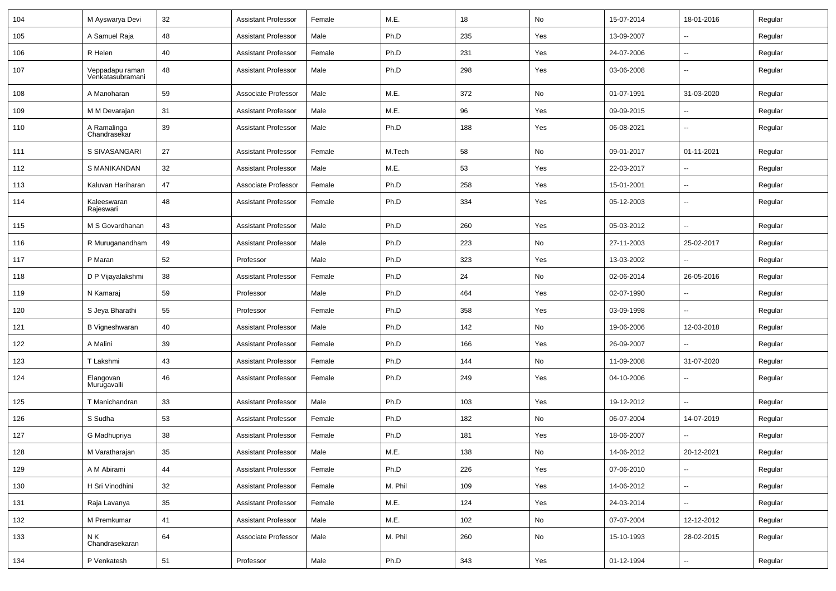| 104 | M Ayswarya Devi                     | 32 | <b>Assistant Professor</b> | Female | M.E.    | 18  | No  | 15-07-2014 | 18-01-2016               | Regular |
|-----|-------------------------------------|----|----------------------------|--------|---------|-----|-----|------------|--------------------------|---------|
| 105 | A Samuel Raja                       | 48 | <b>Assistant Professor</b> | Male   | Ph.D    | 235 | Yes | 13-09-2007 | -−                       | Regular |
| 106 | R Helen                             | 40 | <b>Assistant Professor</b> | Female | Ph.D    | 231 | Yes | 24-07-2006 | --                       | Regular |
| 107 | Veppadapu raman<br>Venkatasubramani | 48 | <b>Assistant Professor</b> | Male   | Ph.D    | 298 | Yes | 03-06-2008 | --                       | Regular |
| 108 | A Manoharan                         | 59 | Associate Professor        | Male   | M.E.    | 372 | No  | 01-07-1991 | 31-03-2020               | Regular |
| 109 | M M Devarajan                       | 31 | <b>Assistant Professor</b> | Male   | M.E.    | 96  | Yes | 09-09-2015 | -−                       | Regular |
| 110 | A Ramalinga<br>Chandrasekar         | 39 | <b>Assistant Professor</b> | Male   | Ph.D    | 188 | Yes | 06-08-2021 | $\overline{\phantom{a}}$ | Regular |
| 111 | S SIVASANGARI                       | 27 | Assistant Professor        | Female | M.Tech  | 58  | No  | 09-01-2017 | 01-11-2021               | Regular |
| 112 | S MANIKANDAN                        | 32 | <b>Assistant Professor</b> | Male   | M.E.    | 53  | Yes | 22-03-2017 | н.                       | Regular |
| 113 | Kaluvan Hariharan                   | 47 | Associate Professor        | Female | Ph.D    | 258 | Yes | 15-01-2001 | $\sim$                   | Regular |
| 114 | Kaleeswaran<br>Rajeswari            | 48 | <b>Assistant Professor</b> | Female | Ph.D    | 334 | Yes | 05-12-2003 | --                       | Regular |
| 115 | M S Govardhanan                     | 43 | <b>Assistant Professor</b> | Male   | Ph.D    | 260 | Yes | 05-03-2012 | -−                       | Regular |
| 116 | R Muruganandham                     | 49 | <b>Assistant Professor</b> | Male   | Ph.D    | 223 | No  | 27-11-2003 | 25-02-2017               | Regular |
| 117 | P Maran                             | 52 | Professor                  | Male   | Ph.D    | 323 | Yes | 13-03-2002 |                          | Regular |
| 118 | D P Vijayalakshmi                   | 38 | <b>Assistant Professor</b> | Female | Ph.D    | 24  | No  | 02-06-2014 | 26-05-2016               | Regular |
| 119 | N Kamaraj                           | 59 | Professor                  | Male   | Ph.D    | 464 | Yes | 02-07-1990 | Ξ.                       | Regular |
| 120 | S Jeya Bharathi                     | 55 | Professor                  | Female | Ph.D    | 358 | Yes | 03-09-1998 | $\sim$                   | Regular |
| 121 | <b>B</b> Vigneshwaran               | 40 | <b>Assistant Professor</b> | Male   | Ph.D    | 142 | No  | 19-06-2006 | 12-03-2018               | Regular |
| 122 | A Malini                            | 39 | <b>Assistant Professor</b> | Female | Ph.D    | 166 | Yes | 26-09-2007 |                          | Regular |
| 123 | T Lakshmi                           | 43 | Assistant Professor        | Female | Ph.D    | 144 | No  | 11-09-2008 | 31-07-2020               | Regular |
| 124 | Elangovan<br>Murugavalli            | 46 | <b>Assistant Professor</b> | Female | Ph.D    | 249 | Yes | 04-10-2006 | -−                       | Regular |
| 125 | T Manichandran                      | 33 | <b>Assistant Professor</b> | Male   | Ph.D    | 103 | Yes | 19-12-2012 | -−                       | Regular |
| 126 | S Sudha                             | 53 | Assistant Professor        | Female | Ph.D    | 182 | No  | 06-07-2004 | 14-07-2019               | Regular |
| 127 | G Madhupriya                        | 38 | Assistant Professor        | Female | Ph.D    | 181 | Yes | 18-06-2007 | -−                       | Regular |
| 128 | M Varatharajan                      | 35 | <b>Assistant Professor</b> | Male   | M.E.    | 138 | No  | 14-06-2012 | 20-12-2021               | Regular |
| 129 | A M Abirami                         | 44 | <b>Assistant Professor</b> | Female | Ph.D    | 226 | Yes | 07-06-2010 | -−                       | Regular |
| 130 | H Sri Vinodhini                     | 32 | <b>Assistant Professor</b> | Female | M. Phil | 109 | Yes | 14-06-2012 | Щ,                       | Regular |
| 131 | Raja Lavanya                        | 35 | <b>Assistant Professor</b> | Female | M.E.    | 124 | Yes | 24-03-2014 | Щ,                       | Regular |
| 132 | M Premkumar                         | 41 | <b>Assistant Professor</b> | Male   | M.E.    | 102 | No  | 07-07-2004 | 12-12-2012               | Regular |
| 133 | N K<br>Chandrasekaran               | 64 | Associate Professor        | Male   | M. Phil | 260 | No  | 15-10-1993 | 28-02-2015               | Regular |
| 134 | P Venkatesh                         | 51 | Professor                  | Male   | Ph.D    | 343 | Yes | 01-12-1994 | $\sim$                   | Regular |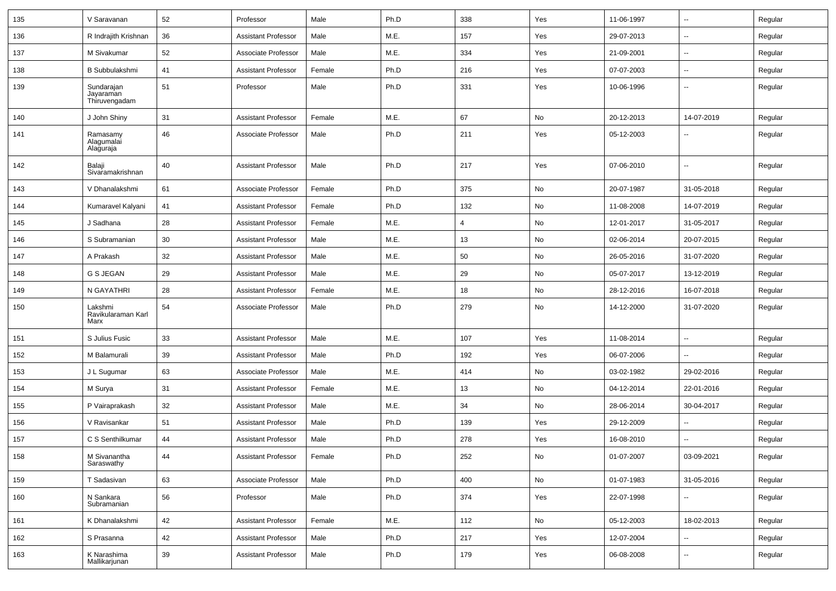| 135 | V Saravanan                              | 52 | Professor                  | Male   | Ph.D | 338 | Yes           | 11-06-1997 | $\overline{\phantom{a}}$ | Regular |
|-----|------------------------------------------|----|----------------------------|--------|------|-----|---------------|------------|--------------------------|---------|
| 136 | R Indrajith Krishnan                     | 36 | <b>Assistant Professor</b> | Male   | M.E. | 157 | Yes           | 29-07-2013 | $\sim$                   | Regular |
| 137 | M Sivakumar                              | 52 | Associate Professor        | Male   | M.E. | 334 | Yes           | 21-09-2001 | $\overline{\phantom{a}}$ | Regular |
| 138 | <b>B</b> Subbulakshmi                    | 41 | <b>Assistant Professor</b> | Female | Ph.D | 216 | Yes           | 07-07-2003 | $\overline{\phantom{a}}$ | Regular |
| 139 | Sundarajan<br>Jayaraman<br>Thiruvengadam | 51 | Professor                  | Male   | Ph.D | 331 | Yes           | 10-06-1996 | $\overline{\phantom{a}}$ | Regular |
| 140 | J John Shiny                             | 31 | <b>Assistant Professor</b> | Female | M.E. | 67  | No            | 20-12-2013 | 14-07-2019               | Regular |
| 141 | Ramasamy<br>Alagumalai<br>Alağuraja      | 46 | Associate Professor        | Male   | Ph.D | 211 | Yes           | 05-12-2003 |                          | Regular |
| 142 | Balaji<br>Sivaramakrishnan               | 40 | <b>Assistant Professor</b> | Male   | Ph.D | 217 | Yes           | 07-06-2010 | $\sim$                   | Regular |
| 143 | V Dhanalakshmi                           | 61 | Associate Professor        | Female | Ph.D | 375 | No            | 20-07-1987 | 31-05-2018               | Regular |
| 144 | Kumaravel Kalyani                        | 41 | <b>Assistant Professor</b> | Female | Ph.D | 132 | No            | 11-08-2008 | 14-07-2019               | Regular |
| 145 | J Sadhana                                | 28 | <b>Assistant Professor</b> | Female | M.E. | 4   | No            | 12-01-2017 | 31-05-2017               | Regular |
| 146 | S Subramanian                            | 30 | <b>Assistant Professor</b> | Male   | M.E. | 13  | No            | 02-06-2014 | 20-07-2015               | Regular |
| 147 | A Prakash                                | 32 | <b>Assistant Professor</b> | Male   | M.E. | 50  | No            | 26-05-2016 | 31-07-2020               | Regular |
| 148 | G S JEGAN                                | 29 | <b>Assistant Professor</b> | Male   | M.E. | 29  | No            | 05-07-2017 | 13-12-2019               | Regular |
| 149 | N GAYATHRI                               | 28 | <b>Assistant Professor</b> | Female | M.E. | 18  | No            | 28-12-2016 | 16-07-2018               | Regular |
| 150 | Lakshmi<br>Ravikularaman Karl<br>Marx    | 54 | Associate Professor        | Male   | Ph.D | 279 | No            | 14-12-2000 | 31-07-2020               | Regular |
| 151 | S Julius Fusic                           | 33 | <b>Assistant Professor</b> | Male   | M.E. | 107 | Yes           | 11-08-2014 | $\overline{\phantom{a}}$ | Regular |
| 152 | M Balamurali                             | 39 | <b>Assistant Professor</b> | Male   | Ph.D | 192 | Yes           | 06-07-2006 |                          | Regular |
| 153 | J L Sugumar                              | 63 | Associate Professor        | Male   | M.E. | 414 | No            | 03-02-1982 | 29-02-2016               | Regular |
| 154 | M Surya                                  | 31 | <b>Assistant Professor</b> | Female | M.E. | 13  | No            | 04-12-2014 | 22-01-2016               | Regular |
| 155 | P Vairaprakash                           | 32 | <b>Assistant Professor</b> | Male   | M.E. | 34  | No            | 28-06-2014 | 30-04-2017               | Regular |
| 156 | V Ravisankar                             | 51 | Assistant Professor        | Male   | Ph.D | 139 | Yes           | 29-12-2009 | $\overline{\phantom{a}}$ | Regular |
| 157 | C S Senthilkumar                         | 44 | <b>Assistant Professor</b> | Male   | Ph.D | 278 | Yes           | 16-08-2010 |                          | Regular |
| 158 | M Sivanantha<br>Saraswathy               | 44 | Assistant Professor        | Female | Ph.D | 252 | $\mathsf{No}$ | 01-07-2007 | 03-09-2021               | Regular |
| 159 | T Sadasivan                              | 63 | Associate Professor        | Male   | Ph.D | 400 | No            | 01-07-1983 | 31-05-2016               | Regular |
| 160 | N Sankara<br>Subramanian                 | 56 | Professor                  | Male   | Ph.D | 374 | Yes           | 22-07-1998 | $\sim$                   | Regular |
| 161 | K Dhanalakshmi                           | 42 | Assistant Professor        | Female | M.E. | 112 | No            | 05-12-2003 | 18-02-2013               | Regular |
| 162 | S Prasanna                               | 42 | <b>Assistant Professor</b> | Male   | Ph.D | 217 | Yes           | 12-07-2004 | $\sim$                   | Regular |
| 163 | K Narashima<br>Mallikarjunan             | 39 | Assistant Professor        | Male   | Ph.D | 179 | Yes           | 06-08-2008 | $\sim$                   | Regular |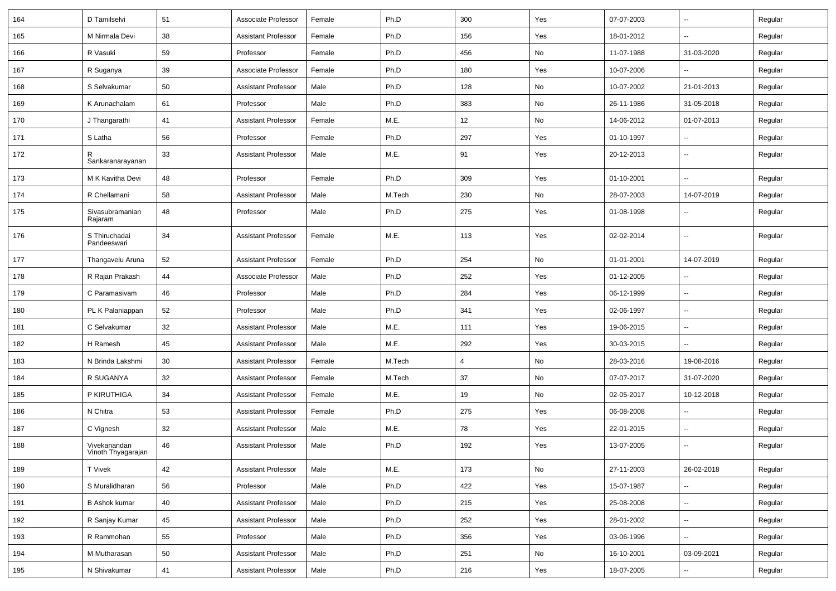| 164 | D Tamilselvi                       | 51 | Associate Professor        | Female | Ph.D   | 300            | Yes | 07-07-2003 | $\sim$                   | Regular |
|-----|------------------------------------|----|----------------------------|--------|--------|----------------|-----|------------|--------------------------|---------|
| 165 | M Nirmala Devi                     | 38 | <b>Assistant Professor</b> | Female | Ph.D   | 156            | Yes | 18-01-2012 | -−                       | Regular |
| 166 | R Vasuki                           | 59 | Professor                  | Female | Ph.D   | 456            | No  | 11-07-1988 | 31-03-2020               | Regular |
| 167 | R Suganya                          | 39 | Associate Professor        | Female | Ph.D   | 180            | Yes | 10-07-2006 |                          | Regular |
| 168 | S Selvakumar                       | 50 | <b>Assistant Professor</b> | Male   | Ph.D   | 128            | No  | 10-07-2002 | 21-01-2013               | Regular |
| 169 | K Arunachalam                      | 61 | Professor                  | Male   | Ph.D   | 383            | No  | 26-11-1986 | 31-05-2018               | Regular |
| 170 | J Thangarathi                      | 41 | <b>Assistant Professor</b> | Female | M.E.   | 12             | No  | 14-06-2012 | 01-07-2013               | Regular |
| 171 | S Latha                            | 56 | Professor                  | Female | Ph.D   | 297            | Yes | 01-10-1997 |                          | Regular |
| 172 | R<br>Sankaranarayanan              | 33 | <b>Assistant Professor</b> | Male   | M.E.   | 91             | Yes | 20-12-2013 | $\overline{\phantom{a}}$ | Regular |
| 173 | M K Kavitha Devi                   | 48 | Professor                  | Female | Ph.D   | 309            | Yes | 01-10-2001 | ۵.                       | Regular |
| 174 | R Chellamani                       | 58 | <b>Assistant Professor</b> | Male   | M.Tech | 230            | No  | 28-07-2003 | 14-07-2019               | Regular |
| 175 | Sivasubramanian<br>Rajaram         | 48 | Professor                  | Male   | Ph.D   | 275            | Yes | 01-08-1998 |                          | Regular |
| 176 | S Thiruchadai<br>Pandeeswari       | 34 | <b>Assistant Professor</b> | Female | M.E.   | 113            | Yes | 02-02-2014 | --                       | Regular |
| 177 | Thangavelu Aruna                   | 52 | <b>Assistant Professor</b> | Female | Ph.D   | 254            | No  | 01-01-2001 | 14-07-2019               | Regular |
| 178 | R Rajan Prakash                    | 44 | Associate Professor        | Male   | Ph.D   | 252            | Yes | 01-12-2005 | $\overline{\phantom{a}}$ | Regular |
| 179 | C Paramasivam                      | 46 | Professor                  | Male   | Ph.D   | 284            | Yes | 06-12-1999 | $\sim$                   | Regular |
| 180 | PL K Palaniappan                   | 52 | Professor                  | Male   | Ph.D   | 341            | Yes | 02-06-1997 | $\overline{\phantom{a}}$ | Regular |
| 181 | C Selvakumar                       | 32 | <b>Assistant Professor</b> | Male   | M.E.   | 111            | Yes | 19-06-2015 | $\overline{\phantom{a}}$ | Regular |
| 182 | H Ramesh                           | 45 | <b>Assistant Professor</b> | Male   | M.E.   | 292            | Yes | 30-03-2015 | --                       | Regular |
| 183 | N Brinda Lakshmi                   | 30 | <b>Assistant Professor</b> | Female | M.Tech | $\overline{4}$ | No  | 28-03-2016 | 19-08-2016               | Regular |
| 184 | R SUGANYA                          | 32 | <b>Assistant Professor</b> | Female | M.Tech | 37             | No  | 07-07-2017 | 31-07-2020               | Regular |
| 185 | P KIRUTHIGA                        | 34 | <b>Assistant Professor</b> | Female | M.E.   | 19             | No  | 02-05-2017 | 10-12-2018               | Regular |
| 186 | N Chitra                           | 53 | <b>Assistant Professor</b> | Female | Ph.D   | 275            | Yes | 06-08-2008 |                          | Regular |
| 187 | C Vignesh                          | 32 | <b>Assistant Professor</b> | Male   | M.E.   | 78             | Yes | 22-01-2015 | $\overline{\phantom{a}}$ | Regular |
| 188 | Vivekanandan<br>Vinoth Thyagarajan | 46 | <b>Assistant Professor</b> | Male   | Ph.D   | 192            | Yes | 13-07-2005 |                          | Regular |
| 189 | <b>T</b> Vivek                     | 42 | Assistant Professor        | Male   | M.E.   | 173            | No  | 27-11-2003 | 26-02-2018               | Regular |
| 190 | S Muralidharan                     | 56 | Professor                  | Male   | Ph.D   | 422            | Yes | 15-07-1987 |                          | Regular |
| 191 | <b>B Ashok kumar</b>               | 40 | <b>Assistant Professor</b> | Male   | Ph.D   | 215            | Yes | 25-08-2008 | Ξ.                       | Regular |
| 192 | R Sanjay Kumar                     | 45 | <b>Assistant Professor</b> | Male   | Ph.D   | 252            | Yes | 28-01-2002 | $\sim$                   | Regular |
| 193 | R Rammohan                         | 55 | Professor                  | Male   | Ph.D   | 356            | Yes | 03-06-1996 | $\sim$                   | Regular |
| 194 | M Mutharasan                       | 50 | <b>Assistant Professor</b> | Male   | Ph.D   | 251            | No  | 16-10-2001 | 03-09-2021               | Regular |
| 195 | N Shivakumar                       | 41 | <b>Assistant Professor</b> | Male   | Ph.D   | 216            | Yes | 18-07-2005 |                          | Regular |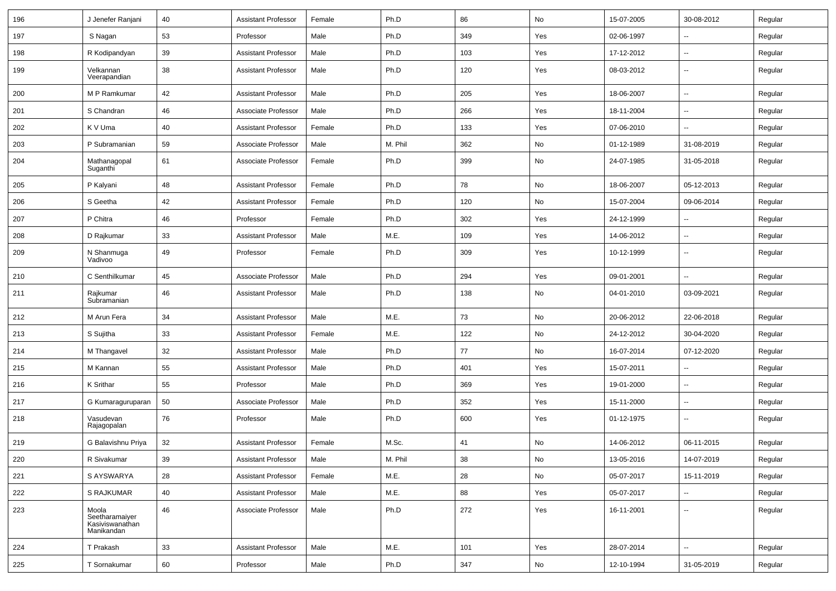| 196 | J Jenefer Ranjani                                        | 40 | <b>Assistant Professor</b> | Female | Ph.D    | 86  | No  | 15-07-2005 | 30-08-2012               | Regular |
|-----|----------------------------------------------------------|----|----------------------------|--------|---------|-----|-----|------------|--------------------------|---------|
| 197 | S Nagan                                                  | 53 | Professor                  | Male   | Ph.D    | 349 | Yes | 02-06-1997 | --                       | Regular |
| 198 | R Kodipandyan                                            | 39 | <b>Assistant Professor</b> | Male   | Ph.D    | 103 | Yes | 17-12-2012 | -−                       | Regular |
| 199 | Velkannan<br>Veerapandian                                | 38 | <b>Assistant Professor</b> | Male   | Ph.D    | 120 | Yes | 08-03-2012 | $\overline{\phantom{a}}$ | Regular |
| 200 | M P Ramkumar                                             | 42 | <b>Assistant Professor</b> | Male   | Ph.D    | 205 | Yes | 18-06-2007 | --                       | Regular |
| 201 | S Chandran                                               | 46 | Associate Professor        | Male   | Ph.D    | 266 | Yes | 18-11-2004 | $\overline{a}$           | Regular |
| 202 | K V Uma                                                  | 40 | <b>Assistant Professor</b> | Female | Ph.D    | 133 | Yes | 07-06-2010 | $\overline{\phantom{a}}$ | Regular |
| 203 | P Subramanian                                            | 59 | Associate Professor        | Male   | M. Phil | 362 | No  | 01-12-1989 | 31-08-2019               | Regular |
| 204 | Mathanagopal<br>Suganthi                                 | 61 | Associate Professor        | Female | Ph.D    | 399 | No  | 24-07-1985 | 31-05-2018               | Regular |
| 205 | P Kalyani                                                | 48 | <b>Assistant Professor</b> | Female | Ph.D    | 78  | No  | 18-06-2007 | 05-12-2013               | Regular |
| 206 | S Geetha                                                 | 42 | <b>Assistant Professor</b> | Female | Ph.D    | 120 | No  | 15-07-2004 | 09-06-2014               | Regular |
| 207 | P Chitra                                                 | 46 | Professor                  | Female | Ph.D    | 302 | Yes | 24-12-1999 |                          | Regular |
| 208 | D Rajkumar                                               | 33 | <b>Assistant Professor</b> | Male   | M.E.    | 109 | Yes | 14-06-2012 | --                       | Regular |
| 209 | N Shanmuga<br>Vadivoo                                    | 49 | Professor                  | Female | Ph.D    | 309 | Yes | 10-12-1999 | $\overline{\phantom{a}}$ | Regular |
| 210 | C Senthilkumar                                           | 45 | Associate Professor        | Male   | Ph.D    | 294 | Yes | 09-01-2001 | Ξ.                       | Regular |
| 211 | Rajkumar<br>Subramanian                                  | 46 | <b>Assistant Professor</b> | Male   | Ph.D    | 138 | No  | 04-01-2010 | 03-09-2021               | Regular |
| 212 | M Arun Fera                                              | 34 | <b>Assistant Professor</b> | Male   | M.E.    | 73  | No  | 20-06-2012 | 22-06-2018               | Regular |
| 213 | S Sujitha                                                | 33 | <b>Assistant Professor</b> | Female | M.E.    | 122 | No  | 24-12-2012 | 30-04-2020               | Regular |
| 214 | M Thangavel                                              | 32 | <b>Assistant Professor</b> | Male   | Ph.D    | 77  | No  | 16-07-2014 | 07-12-2020               | Regular |
| 215 | M Kannan                                                 | 55 | <b>Assistant Professor</b> | Male   | Ph.D    | 401 | Yes | 15-07-2011 | --                       | Regular |
| 216 | K Srithar                                                | 55 | Professor                  | Male   | Ph.D    | 369 | Yes | 19-01-2000 | $\overline{\phantom{a}}$ | Regular |
| 217 | G Kumaraguruparan                                        | 50 | Associate Professor        | Male   | Ph.D    | 352 | Yes | 15-11-2000 | $\overline{\phantom{a}}$ | Regular |
| 218 | Vasudevan<br>Rajagopalan                                 | 76 | Professor                  | Male   | Ph.D    | 600 | Yes | 01-12-1975 | $\overline{\phantom{a}}$ | Regular |
| 219 | G Balavishnu Priya                                       | 32 | <b>Assistant Professor</b> | Female | M.Sc.   | 41  | No  | 14-06-2012 | 06-11-2015               | Regular |
| 220 | R Sivakumar                                              | 39 | Assistant Professor        | Male   | M. Phil | 38  | No  | 13-05-2016 | 14-07-2019               | Regular |
| 221 | S AYSWARYA                                               | 28 | <b>Assistant Professor</b> | Female | M.E.    | 28  | No  | 05-07-2017 | 15-11-2019               | Regular |
| 222 | S RAJKUMAR                                               | 40 | <b>Assistant Professor</b> | Male   | M.E.    | 88  | Yes | 05-07-2017 | -−                       | Regular |
| 223 | Moola<br>Seetharamaiyer<br>Kasiviswanathan<br>Manikandan | 46 | Associate Professor        | Male   | Ph.D    | 272 | Yes | 16-11-2001 | $\overline{\phantom{a}}$ | Regular |
| 224 | T Prakash                                                | 33 | <b>Assistant Professor</b> | Male   | M.E.    | 101 | Yes | 28-07-2014 | $\sim$                   | Regular |
| 225 | T Sornakumar                                             | 60 | Professor                  | Male   | Ph.D    | 347 | No  | 12-10-1994 | 31-05-2019               | Regular |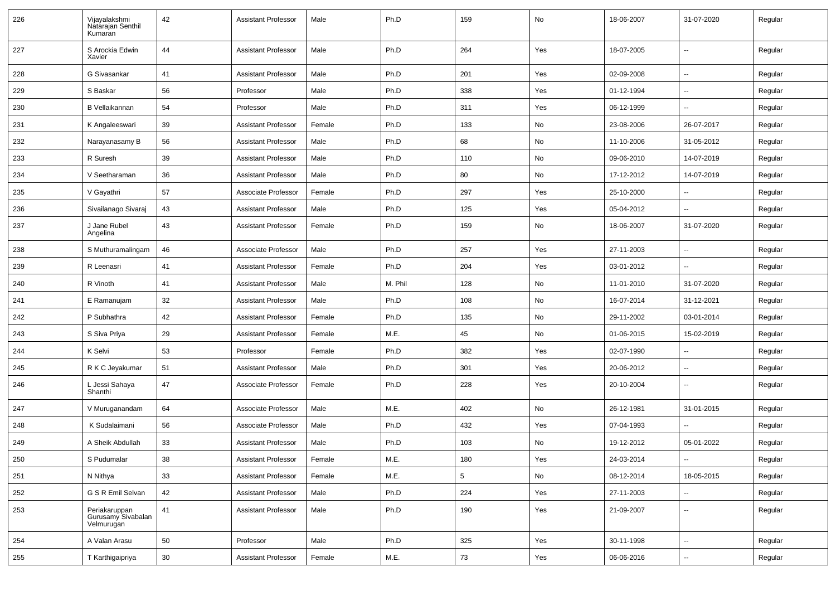| 226 | Vijayalakshmi<br>Natarajan Senthil<br>Kumaran     | 42     | <b>Assistant Professor</b> | Male   | Ph.D    | 159             | No  | 18-06-2007 | 31-07-2020               | Regular |
|-----|---------------------------------------------------|--------|----------------------------|--------|---------|-----------------|-----|------------|--------------------------|---------|
| 227 | S Arockia Edwin<br>Xavier                         | 44     | <b>Assistant Professor</b> | Male   | Ph.D    | 264             | Yes | 18-07-2005 | Ξ.                       | Regular |
| 228 | G Sivasankar                                      | 41     | <b>Assistant Professor</b> | Male   | Ph.D    | 201             | Yes | 02-09-2008 | Ξ.                       | Regular |
| 229 | S Baskar                                          | 56     | Professor                  | Male   | Ph.D    | 338             | Yes | 01-12-1994 | Ξ.                       | Regular |
| 230 | <b>B</b> Vellaikannan                             | 54     | Professor                  | Male   | Ph.D    | 311             | Yes | 06-12-1999 | $\overline{\phantom{a}}$ | Regular |
| 231 | K Angaleeswari                                    | 39     | <b>Assistant Professor</b> | Female | Ph.D    | 133             | No  | 23-08-2006 | 26-07-2017               | Regular |
| 232 | Narayanasamy B                                    | 56     | <b>Assistant Professor</b> | Male   | Ph.D    | 68              | No  | 11-10-2006 | 31-05-2012               | Regular |
| 233 | R Suresh                                          | 39     | <b>Assistant Professor</b> | Male   | Ph.D    | 110             | No  | 09-06-2010 | 14-07-2019               | Regular |
| 234 | V Seetharaman                                     | 36     | <b>Assistant Professor</b> | Male   | Ph.D    | 80              | No  | 17-12-2012 | 14-07-2019               | Regular |
| 235 | V Gayathri                                        | 57     | Associate Professor        | Female | Ph.D    | 297             | Yes | 25-10-2000 | --                       | Regular |
| 236 | Sivailanago Sivaraj                               | 43     | <b>Assistant Professor</b> | Male   | Ph.D    | 125             | Yes | 05-04-2012 | $\overline{\phantom{a}}$ | Regular |
| 237 | J Jane Rubel<br>Angelina                          | 43     | <b>Assistant Professor</b> | Female | Ph.D    | 159             | No  | 18-06-2007 | 31-07-2020               | Regular |
| 238 | S Muthuramalingam                                 | 46     | Associate Professor        | Male   | Ph.D    | 257             | Yes | 27-11-2003 |                          | Regular |
| 239 | R Leenasri                                        | 41     | <b>Assistant Professor</b> | Female | Ph.D    | 204             | Yes | 03-01-2012 |                          | Regular |
| 240 | R Vinoth                                          | 41     | <b>Assistant Professor</b> | Male   | M. Phil | 128             | No  | 11-01-2010 | 31-07-2020               | Regular |
| 241 | E Ramanujam                                       | 32     | <b>Assistant Professor</b> | Male   | Ph.D    | 108             | No  | 16-07-2014 | 31-12-2021               | Regular |
| 242 | P Subhathra                                       | 42     | <b>Assistant Professor</b> | Female | Ph.D    | 135             | No  | 29-11-2002 | 03-01-2014               | Regular |
| 243 | S Siva Priya                                      | 29     | <b>Assistant Professor</b> | Female | M.E.    | 45              | No  | 01-06-2015 | 15-02-2019               | Regular |
| 244 | K Selvi                                           | 53     | Professor                  | Female | Ph.D    | 382             | Yes | 02-07-1990 |                          | Regular |
| 245 | R K C Jeyakumar                                   | 51     | <b>Assistant Professor</b> | Male   | Ph.D    | 301             | Yes | 20-06-2012 | ш.                       | Regular |
| 246 | L Jessi Sahaya<br>Shanthi                         | 47     | Associate Professor        | Female | Ph.D    | 228             | Yes | 20-10-2004 | $\sim$                   | Regular |
| 247 | V Muruganandam                                    | 64     | Associate Professor        | Male   | M.E.    | 402             | No  | 26-12-1981 | 31-01-2015               | Regular |
| 248 | K Sudalaimani                                     | 56     | Associate Professor        | Male   | Ph.D    | 432             | Yes | 07-04-1993 | $\overline{a}$           | Regular |
| 249 | A Sheik Abdullah                                  | 33     | <b>Assistant Professor</b> | Male   | Ph.D    | 103             | No  | 19-12-2012 | 05-01-2022               | Regular |
| 250 | S Pudumalar                                       | 38     | Assistant Professor        | Female | M.E.    | 180             | Yes | 24-03-2014 | ⊶.                       | Regular |
| 251 | N Nithya                                          | 33     | <b>Assistant Professor</b> | Female | M.E.    | $5\phantom{.0}$ | No  | 08-12-2014 | 18-05-2015               | Regular |
| 252 | G S R Emil Selvan                                 | 42     | <b>Assistant Professor</b> | Male   | Ph.D    | 224             | Yes | 27-11-2003 |                          | Regular |
| 253 | Periakaruppan<br>Gurusamy Sivabalan<br>Velmurugan | 41     | Assistant Professor        | Male   | Ph.D    | 190             | Yes | 21-09-2007 | ц.                       | Regular |
| 254 | A Valan Arasu                                     | 50     | Professor                  | Male   | Ph.D    | 325             | Yes | 30-11-1998 | u.                       | Regular |
| 255 | T Karthigaipriya                                  | $30\,$ | <b>Assistant Professor</b> | Female | M.E.    | 73              | Yes | 06-06-2016 | ц.                       | Regular |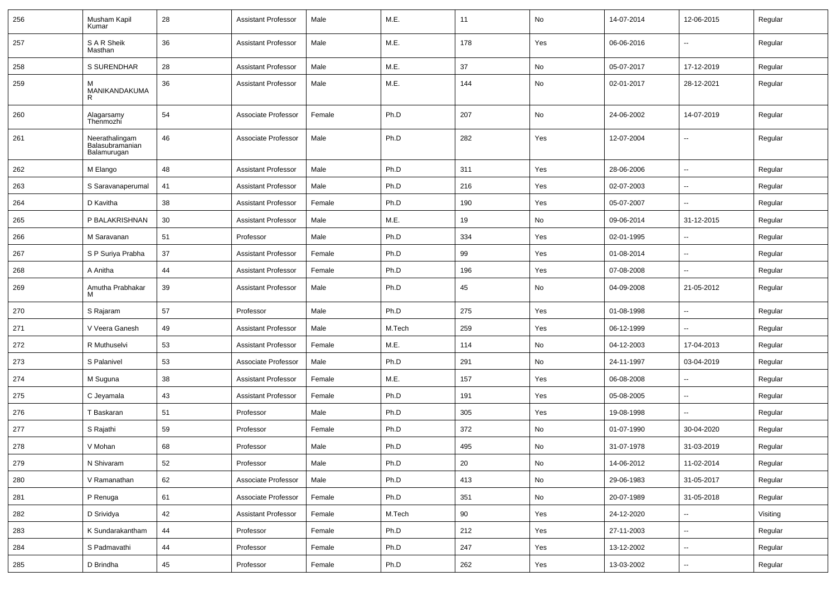| 256 | Musham Kapil<br>Kumar                            | 28 | <b>Assistant Professor</b> | Male   | M.E.   | 11  | No            | 14-07-2014 | 12-06-2015               | Regular  |
|-----|--------------------------------------------------|----|----------------------------|--------|--------|-----|---------------|------------|--------------------------|----------|
| 257 | S A R Sheik<br>Masthan                           | 36 | <b>Assistant Professor</b> | Male   | M.E.   | 178 | Yes           | 06-06-2016 | $\overline{\phantom{a}}$ | Regular  |
| 258 | S SURENDHAR                                      | 28 | <b>Assistant Professor</b> | Male   | M.E.   | 37  | No            | 05-07-2017 | 17-12-2019               | Regular  |
| 259 | м<br>MANIKANDAKUMA<br>R                          | 36 | <b>Assistant Professor</b> | Male   | M.E.   | 144 | No            | 02-01-2017 | 28-12-2021               | Regular  |
| 260 | Alagarsamy<br>Thenmozhi                          | 54 | Associate Professor        | Female | Ph.D   | 207 | No            | 24-06-2002 | 14-07-2019               | Regular  |
| 261 | Neerathalingam<br>Balasubramanian<br>Balamurugan | 46 | Associate Professor        | Male   | Ph.D   | 282 | Yes           | 12-07-2004 | $\overline{\phantom{a}}$ | Regular  |
| 262 | M Elango                                         | 48 | <b>Assistant Professor</b> | Male   | Ph.D   | 311 | Yes           | 28-06-2006 | $\sim$                   | Regular  |
| 263 | S Saravanaperumal                                | 41 | <b>Assistant Professor</b> | Male   | Ph.D   | 216 | Yes           | 02-07-2003 | ⊷.                       | Regular  |
| 264 | D Kavitha                                        | 38 | <b>Assistant Professor</b> | Female | Ph.D   | 190 | Yes           | 05-07-2007 | $\overline{\phantom{a}}$ | Regular  |
| 265 | P BALAKRISHNAN                                   | 30 | <b>Assistant Professor</b> | Male   | M.E.   | 19  | No            | 09-06-2014 | 31-12-2015               | Regular  |
| 266 | M Saravanan                                      | 51 | Professor                  | Male   | Ph.D   | 334 | Yes           | 02-01-1995 |                          | Regular  |
| 267 | S P Suriya Prabha                                | 37 | <b>Assistant Professor</b> | Female | Ph.D   | 99  | Yes           | 01-08-2014 | $\overline{\phantom{a}}$ | Regular  |
| 268 | A Anitha                                         | 44 | <b>Assistant Professor</b> | Female | Ph.D   | 196 | Yes           | 07-08-2008 | $\sim$                   | Regular  |
| 269 | Amutha Prabhakar<br>м                            | 39 | <b>Assistant Professor</b> | Male   | Ph.D   | 45  | No            | 04-09-2008 | 21-05-2012               | Regular  |
| 270 | S Rajaram                                        | 57 | Professor                  | Male   | Ph.D   | 275 | Yes           | 01-08-1998 | ⊷.                       | Regular  |
| 271 | V Veera Ganesh                                   | 49 | <b>Assistant Professor</b> | Male   | M.Tech | 259 | Yes           | 06-12-1999 | $\overline{\phantom{a}}$ | Regular  |
| 272 | R Muthuselvi                                     | 53 | <b>Assistant Professor</b> | Female | M.E.   | 114 | No            | 04-12-2003 | 17-04-2013               | Regular  |
| 273 | S Palanivel                                      | 53 | Associate Professor        | Male   | Ph.D   | 291 | No            | 24-11-1997 | 03-04-2019               | Regular  |
| 274 | M Suguna                                         | 38 | <b>Assistant Professor</b> | Female | M.E.   | 157 | Yes           | 06-08-2008 | $\sim$                   | Regular  |
| 275 | C Jeyamala                                       | 43 | <b>Assistant Professor</b> | Female | Ph.D   | 191 | Yes           | 05-08-2005 | $\sim$                   | Regular  |
| 276 | T Baskaran                                       | 51 | Professor                  | Male   | Ph.D   | 305 | Yes           | 19-08-1998 | $\overline{\phantom{a}}$ | Regular  |
| 277 | S Rajathi                                        | 59 | Professor                  | Female | Ph.D   | 372 | No            | 01-07-1990 | 30-04-2020               | Regular  |
| 278 | V Mohan                                          | 68 | Professor                  | Male   | Ph.D   | 495 | No            | 31-07-1978 | 31-03-2019               | Regular  |
| 279 | N Shivaram                                       | 52 | Professor                  | Male   | Ph.D   | 20  | $\mathsf{No}$ | 14-06-2012 | 11-02-2014               | Regular  |
| 280 | V Ramanathan                                     | 62 | Associate Professor        | Male   | Ph.D   | 413 | No            | 29-06-1983 | 31-05-2017               | Regular  |
| 281 | P Renuga                                         | 61 | Associate Professor        | Female | Ph.D   | 351 | $\mathsf{No}$ | 20-07-1989 | 31-05-2018               | Regular  |
| 282 | D Srividya                                       | 42 | <b>Assistant Professor</b> | Female | M.Tech | 90  | Yes           | 24-12-2020 | $\sim$                   | Visiting |
| 283 | K Sundarakantham                                 | 44 | Professor                  | Female | Ph.D   | 212 | Yes           | 27-11-2003 | $\sim$                   | Regular  |
| 284 | S Padmavathi                                     | 44 | Professor                  | Female | Ph.D   | 247 | Yes           | 13-12-2002 | $\sim$                   | Regular  |
| 285 | D Brindha                                        | 45 | Professor                  | Female | Ph.D   | 262 | Yes           | 13-03-2002 | $\overline{\phantom{a}}$ | Regular  |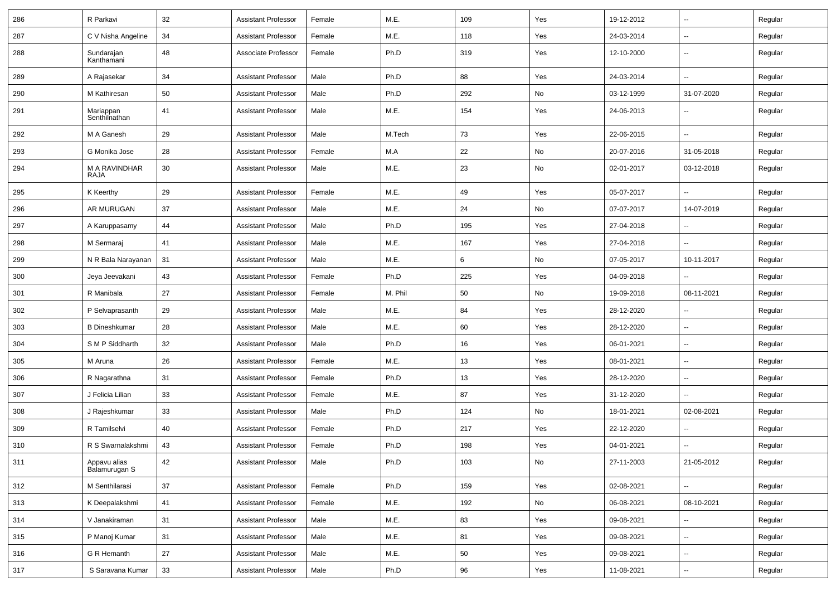| 286 | R Parkavi                     | 32 | <b>Assistant Professor</b> | Female | M.E.    | 109 | Yes | 19-12-2012 | $\sim$                   | Regular |
|-----|-------------------------------|----|----------------------------|--------|---------|-----|-----|------------|--------------------------|---------|
| 287 | C V Nisha Angeline            | 34 | <b>Assistant Professor</b> | Female | M.E.    | 118 | Yes | 24-03-2014 | $\sim$                   | Regular |
| 288 | Sundarajan<br>Kanthamani      | 48 | Associate Professor        | Female | Ph.D    | 319 | Yes | 12-10-2000 | $\sim$                   | Regular |
| 289 | A Rajasekar                   | 34 | <b>Assistant Professor</b> | Male   | Ph.D    | 88  | Yes | 24-03-2014 | $\sim$                   | Regular |
| 290 | M Kathiresan                  | 50 | <b>Assistant Professor</b> | Male   | Ph.D    | 292 | No  | 03-12-1999 | 31-07-2020               | Regular |
| 291 | Mariappan<br>Senthilnathan    | 41 | <b>Assistant Professor</b> | Male   | M.E.    | 154 | Yes | 24-06-2013 | --                       | Regular |
| 292 | M A Ganesh                    | 29 | <b>Assistant Professor</b> | Male   | M.Tech  | 73  | Yes | 22-06-2015 | $\overline{\phantom{a}}$ | Regular |
| 293 | G Monika Jose                 | 28 | <b>Assistant Professor</b> | Female | M.A     | 22  | No  | 20-07-2016 | 31-05-2018               | Regular |
| 294 | M A RAVINDHAR<br>RAJA         | 30 | <b>Assistant Professor</b> | Male   | M.E.    | 23  | No  | 02-01-2017 | 03-12-2018               | Regular |
| 295 | K Keerthy                     | 29 | <b>Assistant Professor</b> | Female | M.E.    | 49  | Yes | 05-07-2017 | $\sim$                   | Regular |
| 296 | AR MURUGAN                    | 37 | <b>Assistant Professor</b> | Male   | M.E.    | 24  | No  | 07-07-2017 | 14-07-2019               | Regular |
| 297 | A Karuppasamy                 | 44 | <b>Assistant Professor</b> | Male   | Ph.D    | 195 | Yes | 27-04-2018 | $\sim$                   | Regular |
| 298 | M Sermaraj                    | 41 | <b>Assistant Professor</b> | Male   | M.E.    | 167 | Yes | 27-04-2018 | $\overline{\phantom{a}}$ | Regular |
| 299 | N R Bala Narayanan            | 31 | <b>Assistant Professor</b> | Male   | M.E.    | 6   | No  | 07-05-2017 | 10-11-2017               | Regular |
| 300 | Jeya Jeevakani                | 43 | <b>Assistant Professor</b> | Female | Ph.D    | 225 | Yes | 04-09-2018 |                          | Regular |
| 301 | R Manibala                    | 27 | <b>Assistant Professor</b> | Female | M. Phil | 50  | No  | 19-09-2018 | 08-11-2021               | Regular |
| 302 | P Selvaprasanth               | 29 | <b>Assistant Professor</b> | Male   | M.E.    | 84  | Yes | 28-12-2020 | $\sim$                   | Regular |
| 303 | <b>B</b> Dineshkumar          | 28 | <b>Assistant Professor</b> | Male   | M.E.    | 60  | Yes | 28-12-2020 | $\sim$                   | Regular |
| 304 | S M P Siddharth               | 32 | <b>Assistant Professor</b> | Male   | Ph.D    | 16  | Yes | 06-01-2021 | $\overline{\phantom{a}}$ | Regular |
| 305 | M Aruna                       | 26 | <b>Assistant Professor</b> | Female | M.E.    | 13  | Yes | 08-01-2021 | $\overline{\phantom{a}}$ | Regular |
| 306 | R Nagarathna                  | 31 | <b>Assistant Professor</b> | Female | Ph.D    | 13  | Yes | 28-12-2020 | $\overline{\phantom{a}}$ | Regular |
| 307 | J Felicia Lilian              | 33 | <b>Assistant Professor</b> | Female | M.E.    | 87  | Yes | 31-12-2020 | $\sim$                   | Regular |
| 308 | J Rajeshkumar                 | 33 | <b>Assistant Professor</b> | Male   | Ph.D    | 124 | No  | 18-01-2021 | 02-08-2021               | Regular |
| 309 | R Tamilselvi                  | 40 | <b>Assistant Professor</b> | Female | Ph.D    | 217 | Yes | 22-12-2020 | $\overline{\phantom{a}}$ | Regular |
| 310 | R S Swarnalakshmi             | 43 | <b>Assistant Professor</b> | Female | Ph.D    | 198 | Yes | 04-01-2021 |                          | Regular |
| 311 | Appavu alias<br>Balamurugan S | 42 | Assistant Professor        | Male   | Ph.D    | 103 | No  | 27-11-2003 | 21-05-2012               | Regular |
| 312 | M Senthilarasi                | 37 | Assistant Professor        | Female | Ph.D    | 159 | Yes | 02-08-2021 | $\overline{\phantom{a}}$ | Regular |
| 313 | K Deepalakshmi                | 41 | <b>Assistant Professor</b> | Female | M.E.    | 192 | No  | 06-08-2021 | 08-10-2021               | Regular |
| 314 | V Janakiraman                 | 31 | <b>Assistant Professor</b> | Male   | M.E.    | 83  | Yes | 09-08-2021 | $\sim$                   | Regular |
| 315 | P Manoj Kumar                 | 31 | <b>Assistant Professor</b> | Male   | M.E.    | 81  | Yes | 09-08-2021 | $\sim$                   | Regular |
| 316 | G R Hemanth                   | 27 | <b>Assistant Professor</b> | Male   | M.E.    | 50  | Yes | 09-08-2021 | $\overline{\phantom{a}}$ | Regular |
| 317 | S Saravana Kumar              | 33 | <b>Assistant Professor</b> | Male   | Ph.D    | 96  | Yes | 11-08-2021 | $\overline{\phantom{a}}$ | Regular |